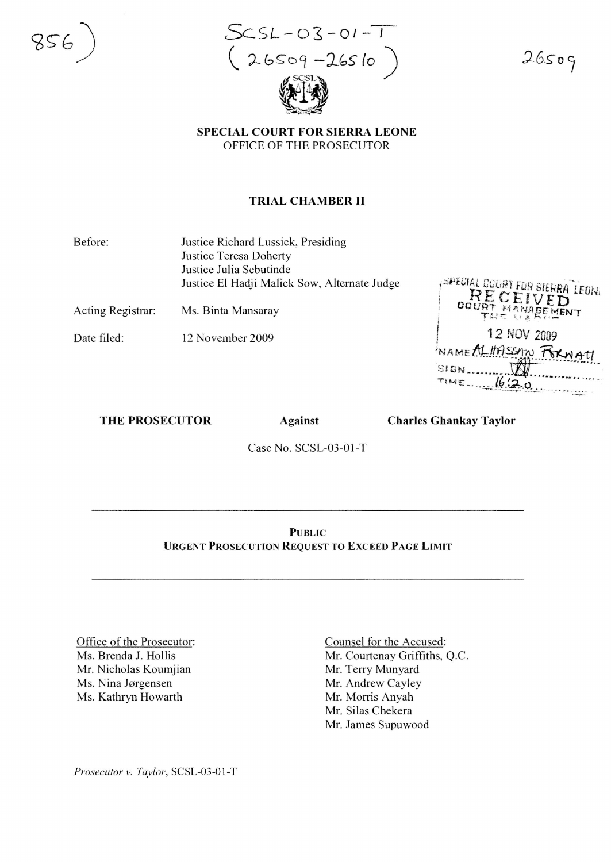$856$ 

 $ScsL - 03 - 01 - T$ e?- b~D'1 *-'.l(,S* (0 )

*:l6.s:° 7*

SPECIAL COURT FOR SIERRA LEONE OFFICE OF THE PROSECUTOR

## TRIAL CHAMBER II

Before: Justice Richard Lussick, Presiding Justice Teresa Doherty Justice Julia Sebutinde Justice EI Hadji Malick Sow, Alternate Judge

Acting Registrar: Ms. Binta Mansaray

Date filed: 12 November 2009

SPECIAL COURT FOR SIERRA LEON VED ARBENENT 12 NOV 2009 NAME ALHASSAN FORWA SIGN  $16.20$ 

## THE PROSECUTOR Against

Charles Ghankay Taylor

Case No. SCSL-03-01-T

## PUBLIC URGENT PROSECUTION REQUEST TO EXCEED PAGE LIMIT

Office of the Prosecutor: Ms. Brenda J. Hollis Mr. Nicholas Koumjian Ms. Nina Jorgensen Ms. Kathryn Howarth

Counsel for the Accused: Mr. Courtenay Griffiths, Q.C. Mr. Terry Munyard Mr. Andrew Cayley Mr. Morris Anyah Mr. Silas Chekera Mr. James Supuwood

*Prosecutor* v. *Taylor,* SCSL-03-01-T